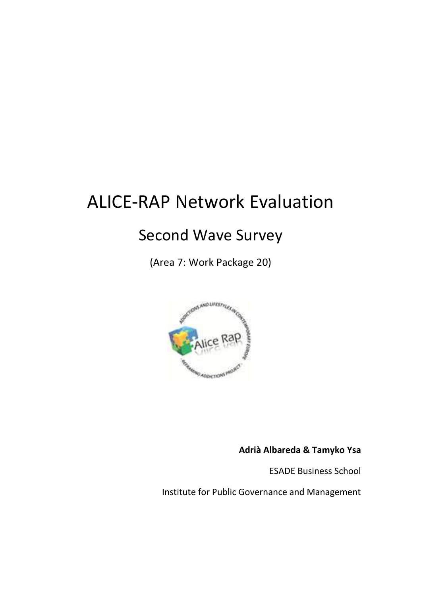# ALICE-RAP Network Evaluation

## Second Wave Survey

(Area 7: Work Package 20)



**Adrià Albareda & Tamyko Ysa** 

ESADE Business School

Institute for Public Governance and Management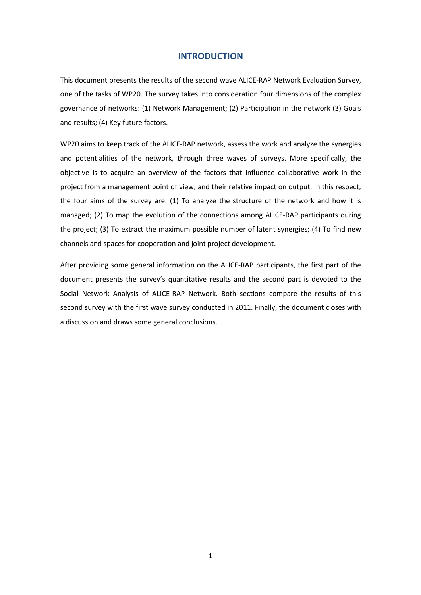## **INTRODUCTION**

This document presents the results of the second wave ALICE-RAP Network Evaluation Survey, one of the tasks of WP20. The survey takes into consideration four dimensions of the complex governance of networks: (1) Network Management; (2) Participation in the network (3) Goals and results; (4) Key future factors.

WP20 aims to keep track of the ALICE-RAP network, assess the work and analyze the synergies and potentialities of the network, through three waves of surveys. More specifically, the objective is to acquire an overview of the factors that influence collaborative work in the project from a management point of view, and their relative impact on output. In this respect, the four aims of the survey are: (1) To analyze the structure of the network and how it is managed; (2) To map the evolution of the connections among ALICE-RAP participants during the project; (3) To extract the maximum possible number of latent synergies; (4) To find new channels and spaces for cooperation and joint project development.

After providing some general information on the ALICE-RAP participants, the first part of the document presents the survey's quantitative results and the second part is devoted to the Social Network Analysis of ALICE-RAP Network. Both sections compare the results of this second survey with the first wave survey conducted in 2011. Finally, the document closes with a discussion and draws some general conclusions.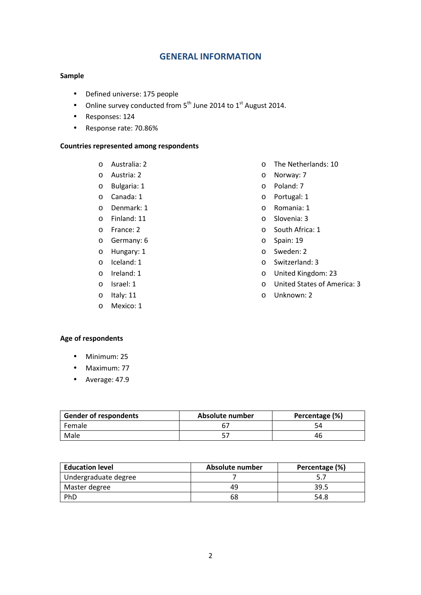## **GENERAL INFORMATION**

## **Sample**

- Defined universe: 175 people
- Online survey conducted from  $5<sup>th</sup>$  June 2014 to  $1<sup>st</sup>$  August 2014.
- Responses: 124
- Response rate: 70.86%

## **Countries represented among respondents**

- o Australia: 2
- o Austria: 2
- o Bulgaria: 1
- o Canada: 1
- o Denmark: 1
- o Finland: 11
- o France: 2
- o Germany: 6
- o Hungary: 1
- o Iceland: 1
- o Ireland: 1
- o Israel: 1
- o Italy: 11
- o Mexico: 1
- o The Netherlands: 10
- o Norway: 7
- o Poland: 7
- o Portugal: 1
- o Romania: 1
- o Slovenia: 3
- o South Africa: 1
- o Spain: 19
- o Sweden: 2
- o Switzerland: 3
- o United Kingdom: 23
- o United States of America: 3
- o Unknown: 2

## **Age of respondents**

- Minimum: 25
- Maximum: 77
- Average: 47.9

| <b>Gender of respondents</b> | Absolute number | Percentage (%) |
|------------------------------|-----------------|----------------|
| Female                       |                 |                |
| Male                         |                 | 46             |

| <b>Education level</b> | Absolute number | Percentage (%) |
|------------------------|-----------------|----------------|
| Undergraduate degree   |                 |                |
| Master degree          | 49              | 39.5           |
| PhD                    | 68              | 54.8           |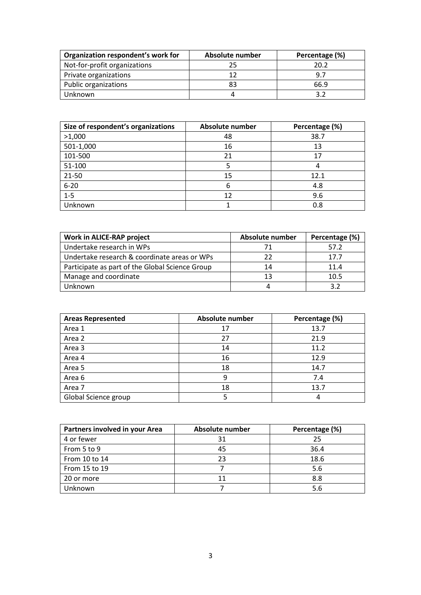| Organization respondent's work for | Absolute number | Percentage (%) |
|------------------------------------|-----------------|----------------|
| Not-for-profit organizations       | 25              | 20.2           |
| Private organizations              | 17              | 9.7            |
| Public organizations               | 83              | 66.9           |
| Unknown                            |                 |                |

| Size of respondent's organizations | <b>Absolute number</b> | Percentage (%) |
|------------------------------------|------------------------|----------------|
| >1,000                             | 48                     | 38.7           |
| 501-1,000                          | 16                     | 13             |
| 101-500                            | 21                     | 17             |
| 51-100                             |                        |                |
| 21-50                              | 15                     | 12.1           |
| $6 - 20$                           | 6                      | 4.8            |
| $1 - 5$                            | 12                     | 9.6            |
| Unknown                            |                        | 0.8            |

| Work in ALICE-RAP project                       | Absolute number | Percentage (%) |
|-------------------------------------------------|-----------------|----------------|
| Undertake research in WPs                       |                 | 57.2           |
| Undertake research & coordinate areas or WPs    |                 | 17.7           |
| Participate as part of the Global Science Group | 14              | 11.4           |
| Manage and coordinate                           | 13              | 10.5           |
| Unknown                                         |                 |                |

| <b>Areas Represented</b> | Absolute number | Percentage (%) |
|--------------------------|-----------------|----------------|
| Area 1                   | 17              | 13.7           |
| Area 2                   | 27              | 21.9           |
| Area 3                   | 14              | 11.2           |
| Area 4                   | 16              | 12.9           |
| Area 5                   | 18              | 14.7           |
| Area 6                   | 9               | 7.4            |
| Area 7                   | 18              | 13.7           |
| Global Science group     |                 |                |

| Partners involved in your Area | Absolute number | Percentage (%) |
|--------------------------------|-----------------|----------------|
| 4 or fewer                     | 31              | 25             |
| From 5 to 9                    | 45              | 36.4           |
| From 10 to 14                  | 23              | 18.6           |
| From 15 to 19                  |                 | 5.6            |
| 20 or more                     | 11              | 8.8            |
| Unknown                        |                 | 5.6            |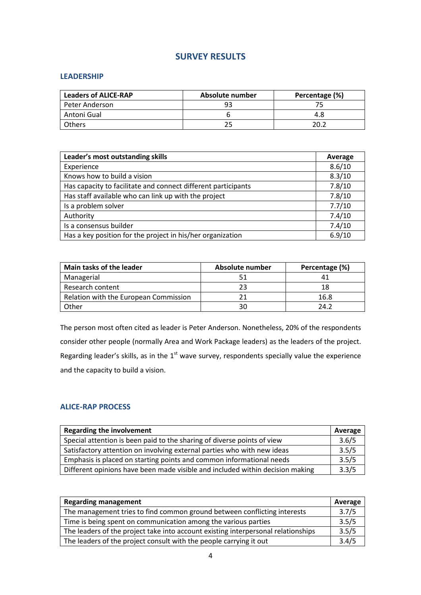## **SURVEY RESULTS**

## **LEADERSHIP**

| <b>Leaders of ALICE-RAP</b> | Absolute number | Percentage (%) |
|-----------------------------|-----------------|----------------|
| Peter Anderson              |                 |                |
| Antoni Gual                 |                 | 4.8            |
| Others                      |                 | כ חכ           |

| Leader's most outstanding skills                              | Average |
|---------------------------------------------------------------|---------|
| Experience                                                    | 8.6/10  |
| Knows how to build a vision                                   | 8.3/10  |
| Has capacity to facilitate and connect different participants | 7.8/10  |
| Has staff available who can link up with the project          | 7.8/10  |
| Is a problem solver                                           | 7.7/10  |
| Authority                                                     | 7.4/10  |
| Is a consensus builder                                        | 7.4/10  |
| Has a key position for the project in his/her organization    | 6.9/10  |

| Main tasks of the leader              | Absolute number | Percentage (%) |
|---------------------------------------|-----------------|----------------|
| Managerial                            |                 |                |
| Research content                      | 23              |                |
| Relation with the European Commission |                 | 16.8           |
| Other                                 | 30              | 24.2           |

The person most often cited as leader is Peter Anderson. Nonetheless, 20% of the respondents consider other people (normally Area and Work Package leaders) as the leaders of the project. Regarding leader's skills, as in the  $1<sup>st</sup>$  wave survey, respondents specially value the experience and the capacity to build a vision.

## **ALICE-RAP PROCESS**

| <b>Regarding the involvement</b>                                              | Average |
|-------------------------------------------------------------------------------|---------|
| Special attention is been paid to the sharing of diverse points of view       | 3.6/5   |
| Satisfactory attention on involving external parties who with new ideas       |         |
| Emphasis is placed on starting points and common informational needs          | 3.5/5   |
| Different opinions have been made visible and included within decision making | 3.3/5   |

| <b>Regarding management</b>                                                       |       |
|-----------------------------------------------------------------------------------|-------|
| The management tries to find common ground between conflicting interests          | 3.7/5 |
| Time is being spent on communication among the various parties                    |       |
| The leaders of the project take into account existing interpersonal relationships | 3.5/5 |
| The leaders of the project consult with the people carrying it out                | 3.4/5 |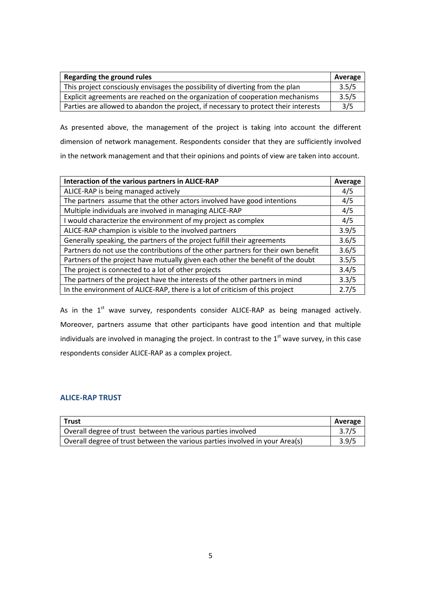| Regarding the ground rules                                                          | Average |
|-------------------------------------------------------------------------------------|---------|
| This project consciously envisages the possibility of diverting from the plan       | 3.5/5   |
| Explicit agreements are reached on the organization of cooperation mechanisms       | 3.5/5   |
| Parties are allowed to abandon the project, if necessary to protect their interests | 3/5     |

As presented above, the management of the project is taking into account the different dimension of network management. Respondents consider that they are sufficiently involved in the network management and that their opinions and points of view are taken into account.

| Interaction of the various partners in ALICE-RAP                                  | Average |
|-----------------------------------------------------------------------------------|---------|
| ALICE-RAP is being managed actively                                               | 4/5     |
| The partners assume that the other actors involved have good intentions           | 4/5     |
| Multiple individuals are involved in managing ALICE-RAP                           | 4/5     |
| I would characterize the environment of my project as complex                     | 4/5     |
| ALICE-RAP champion is visible to the involved partners                            |         |
| Generally speaking, the partners of the project fulfill their agreements          |         |
| Partners do not use the contributions of the other partners for their own benefit |         |
| Partners of the project have mutually given each other the benefit of the doubt   |         |
| The project is connected to a lot of other projects                               | 3.4/5   |
| The partners of the project have the interests of the other partners in mind      | 3.3/5   |
| In the environment of ALICE-RAP, there is a lot of criticism of this project      | 2.7/5   |

As in the  $1<sup>st</sup>$  wave survey, respondents consider ALICE-RAP as being managed actively. Moreover, partners assume that other participants have good intention and that multiple individuals are involved in managing the project. In contrast to the  $1<sup>st</sup>$  wave survey, in this case respondents consider ALICE-RAP as a complex project.

## **ALICE-RAP TRUST**

| <b>Trust</b>                                                                 | Average |
|------------------------------------------------------------------------------|---------|
| Overall degree of trust between the various parties involved                 | 3.7/5   |
| Overall degree of trust between the various parties involved in your Area(s) | 3.9/5   |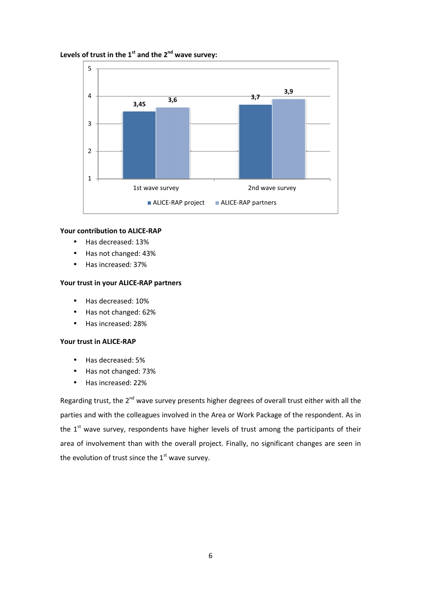## Levels of trust in the 1<sup>st</sup> and the 2<sup>nd</sup> wave survey:



#### **Your contribution to ALICE-RAP RAP**

- Has decreased: 13%
- Has not changed: 43% %
- Has increased: 37%

#### Your trust in your ALICE-RAP partners

- Has decreased: 10%
- Has not changed: 62%
- Has increased: 28%

#### **Your trust in ALICE-RAP**

- Has decreased: 5%
- Has not changed: 73%
- Has increased: 22%

Regarding trust, the 2<sup>nd</sup> wave survey presents higher degrees of overall trust either with all the parties and with the colleagues involved in the Area or Work Package of the respondent. As in the  $1<sup>st</sup>$  wave survey, respondents have higher levels of trust among the participants of their area of involvement than with the overall project. Finally, no significant changes are seen in the evolution of trust since the  $1<sup>st</sup>$  wave survey. %<br>%<br>e survey presents higher degrees of overall trust<br>ues involved in the Area or Work Package of the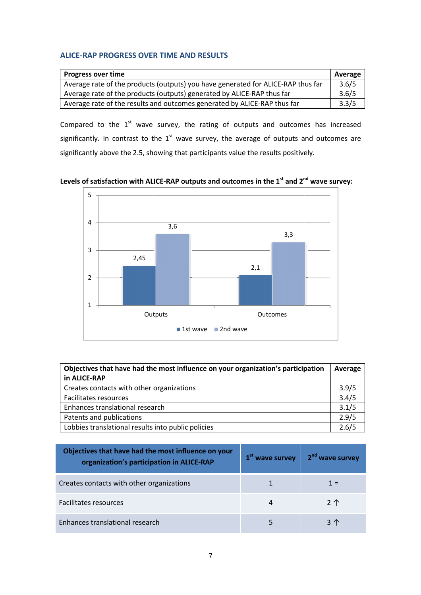## **ALICE-RAP PROGRESS OVER TIME AND RESULTS**

| <b>Progress over time</b>                                                        | Average |
|----------------------------------------------------------------------------------|---------|
| Average rate of the products (outputs) you have generated for ALICE-RAP thus far | 3.6/5   |
| Average rate of the products (outputs) generated by ALICE-RAP thus far           | 3.6/5   |
| Average rate of the results and outcomes generated by ALICE-RAP thus far         | 3.3/5   |

Compared to the  $1<sup>st</sup>$  wave survey, the rating of outputs and outcomes has increased significantly. In contrast to the  $1<sup>st</sup>$  wave survey, the average of outputs and outcomes are significantly above the 2.5, showing that participants value the results positively.

Levels of satisfaction with ALICE-RAP outputs and outcomes in the 1<sup>st</sup> and 2<sup>nd</sup> wave survey:



| Objectives that have had the most influence on your organization's participation |       |
|----------------------------------------------------------------------------------|-------|
| in ALICE-RAP                                                                     |       |
| Creates contacts with other organizations                                        | 3.9/5 |
| Facilitates resources                                                            | 3.4/5 |
| Enhances translational research                                                  | 3.1/5 |
| Patents and publications                                                         | 2.9/5 |
| Lobbies translational results into public policies                               | 2.6/5 |

| Objectives that have had the most influence on your<br>organization's participation in ALICE-RAP | $1st$ wave survey | 2 <sup>nd</sup> wave survey |
|--------------------------------------------------------------------------------------------------|-------------------|-----------------------------|
| Creates contacts with other organizations                                                        |                   | 1 =                         |
| <b>Facilitates resources</b>                                                                     |                   | 2 <sup>1</sup>              |
| Enhances translational research                                                                  |                   | 3个                          |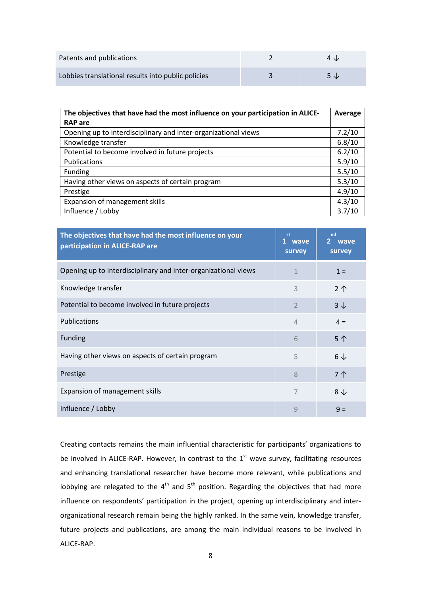| Patents and publications                           | $4 \nu$ |
|----------------------------------------------------|---------|
| Lobbies translational results into public policies | $5 \nu$ |

| The objectives that have had the most influence on your participation in ALICE-<br><b>RAP</b> are |        |
|---------------------------------------------------------------------------------------------------|--------|
| Opening up to interdisciplinary and inter-organizational views                                    | 7.2/10 |
| Knowledge transfer                                                                                | 6.8/10 |
| Potential to become involved in future projects                                                   | 6.2/10 |
| Publications                                                                                      | 5.9/10 |
| Funding                                                                                           | 5.5/10 |
| Having other views on aspects of certain program                                                  | 5.3/10 |
| Prestige                                                                                          | 4.9/10 |
| Expansion of management skills                                                                    | 4.3/10 |
| Influence / Lobby                                                                                 | 3.7/10 |

| The objectives that have had the most influence on your<br>participation in ALICE-RAP are | st<br>1 wave<br>survey | nd<br>2 wave<br>survey |
|-------------------------------------------------------------------------------------------|------------------------|------------------------|
| Opening up to interdisciplinary and inter-organizational views                            |                        | $1 =$                  |
| Knowledge transfer                                                                        | 3                      | 2 <sup>1</sup>         |
| Potential to become involved in future projects                                           | $\overline{2}$         | $3\downarrow$          |
| Publications                                                                              | $\overline{4}$         | $4 =$                  |
| <b>Funding</b>                                                                            | 6                      | 5个                     |
| Having other views on aspects of certain program                                          | 5                      | $6\downarrow$          |
| Prestige                                                                                  | 8                      | 7个                     |
| Expansion of management skills                                                            | 7                      | $8\downarrow$          |
| Influence / Lobby                                                                         | 9                      | $9 =$                  |

Creating contacts remains the main influential characteristic for participants' organizations to be involved in ALICE-RAP. However, in contrast to the  $1<sup>st</sup>$  wave survey, facilitating resources and enhancing translational researcher have become more relevant, while publications and lobbying are relegated to the  $4<sup>th</sup>$  and  $5<sup>th</sup>$  position. Regarding the objectives that had more influence on respondents' participation in the project, opening up interdisciplinary and interorganizational research remain being the highly ranked. In the same vein, knowledge transfer, future projects and publications, are among the main individual reasons to be involved in ALICE-RAP.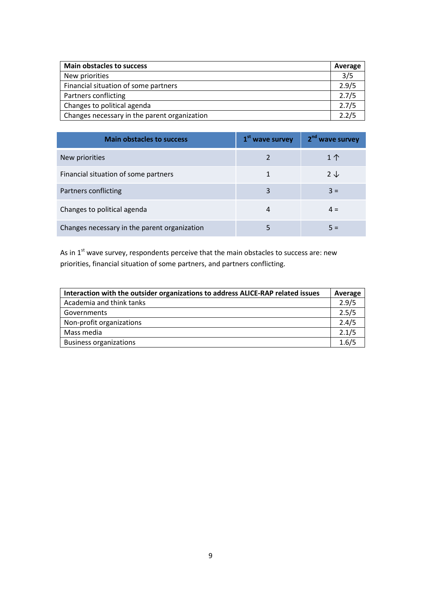| <b>Main obstacles to success</b>             | Average |
|----------------------------------------------|---------|
| New priorities                               | 3/5     |
| Financial situation of some partners         | 2.9/5   |
| Partners conflicting                         | 2.7/5   |
| Changes to political agenda                  | 2.7/5   |
| Changes necessary in the parent organization | 2.2/5   |

| <b>Main obstacles to success</b>             | 1 <sup>st</sup> wave survey | 2 <sup>nd</sup> wave survey |
|----------------------------------------------|-----------------------------|-----------------------------|
| New priorities                               |                             | $1 \uparrow$                |
| Financial situation of some partners         |                             | $2 \downarrow$              |
| Partners conflicting                         | 3                           | $3 =$                       |
| Changes to political agenda                  | 4                           | $4 =$                       |
| Changes necessary in the parent organization |                             |                             |

As in  $1<sup>st</sup>$  wave survey, respondents perceive that the main obstacles to success are: new priorities, financial situation of some partners, and partners conflicting.

| Interaction with the outsider organizations to address ALICE-RAP related issues | Average |
|---------------------------------------------------------------------------------|---------|
| Academia and think tanks                                                        | 2.9/5   |
| Governments                                                                     | 2.5/5   |
| Non-profit organizations                                                        | 2.4/5   |
| Mass media                                                                      | 2.1/5   |
| <b>Business organizations</b>                                                   | 1.6/5   |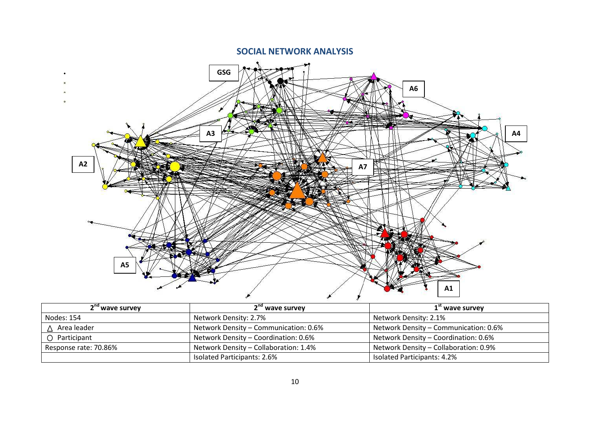## **SOCIAL NETWORK ANALYSIS**



| 2 <sup>nd</sup> wave survey | 2 <sup>nd</sup> wave survey           | 1 <sup>st</sup> wave survey           |  |
|-----------------------------|---------------------------------------|---------------------------------------|--|
| Nodes: 154                  | Network Density: 2.7%                 | Network Density: 2.1%                 |  |
| $\triangle$ Area leader     | Network Density - Communication: 0.6% | Network Density - Communication: 0.6% |  |
| ○ Participant               | Network Density - Coordination: 0.6%  | Network Density - Coordination: 0.6%  |  |
| Response rate: 70.86%       | Network Density - Collaboration: 1.4% | Network Density - Collaboration: 0.9% |  |
|                             | Isolated Participants: 2.6%           | Isolated Participants: 4.2%           |  |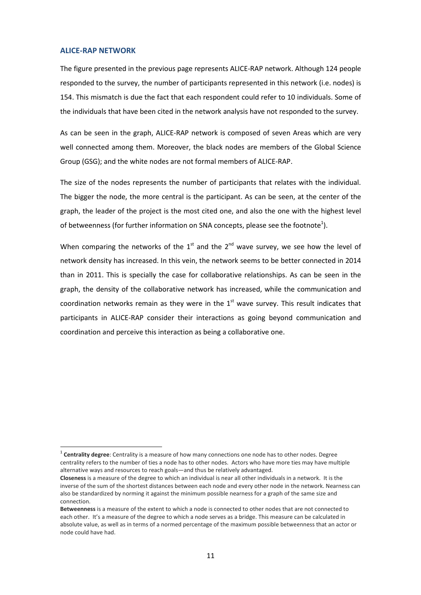#### **ALICE-RAP NETWORK**

l

The figure presented in the previous page represents ALICE-RAP network. Although 124 people responded to the survey, the number of participants represented in this network (i.e. nodes) is 154. This mismatch is due the fact that each respondent could refer to 10 individuals. Some of the individuals that have been cited in the network analysis have not responded to the survey.

As can be seen in the graph, ALICE-RAP network is composed of seven Areas which are very well connected among them. Moreover, the black nodes are members of the Global Science Group (GSG); and the white nodes are not formal members of ALICE-RAP.

The size of the nodes represents the number of participants that relates with the individual. The bigger the node, the more central is the participant. As can be seen, at the center of the graph, the leader of the project is the most cited one, and also the one with the highest level of betweenness (for further information on SNA concepts, please see the footnote<sup>1</sup>).

When comparing the networks of the  $1<sup>st</sup>$  and the  $2<sup>nd</sup>$  wave survey, we see how the level of network density has increased. In this vein, the network seems to be better connected in 2014 than in 2011. This is specially the case for collaborative relationships. As can be seen in the graph, the density of the collaborative network has increased, while the communication and coordination networks remain as they were in the  $1<sup>st</sup>$  wave survey. This result indicates that participants in ALICE-RAP consider their interactions as going beyond communication and coordination and perceive this interaction as being a collaborative one.

<sup>1</sup> **Centrality degree**: Centrality is a measure of how many connections one node has to other nodes. Degree centrality refers to the number of ties a node has to other nodes. Actors who have more ties may have multiple alternative ways and resources to reach goals—and thus be relatively advantaged.

**Closeness** is a measure of the degree to which an individual is near all other individuals in a network. It is the inverse of the sum of the shortest distances between each node and every other node in the network. Nearness can also be standardized by norming it against the minimum possible nearness for a graph of the same size and connection.

**Betweenness** is a measure of the extent to which a node is connected to other nodes that are not connected to each other. It's a measure of the degree to which a node serves as a bridge. This measure can be calculated in absolute value, as well as in terms of a normed percentage of the maximum possible betweenness that an actor or node could have had.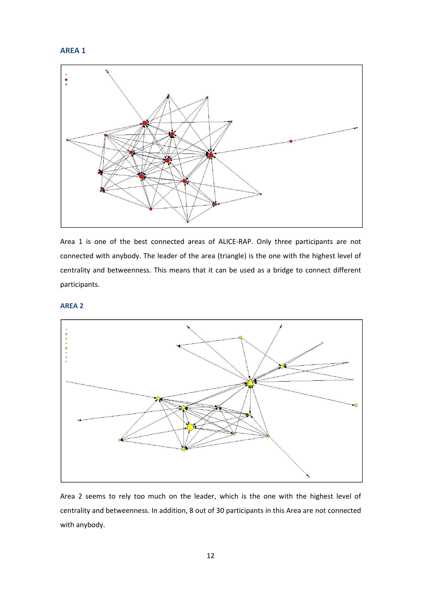



Area 1 is one of the best connected areas of ALICE-RAP. Only three participants are not connected with anybody. The leader of the area (triangle) is the one with the highest level of centrality and betweenness. This means that it can be used as a bridge to connect different participants.

#### **AREA 2**



Area 2 seems to rely too much on the leader, which is the one with the highest level of centrality and betweenness. In addition, 8 out of 30 participants in this Area are not connected with anybody.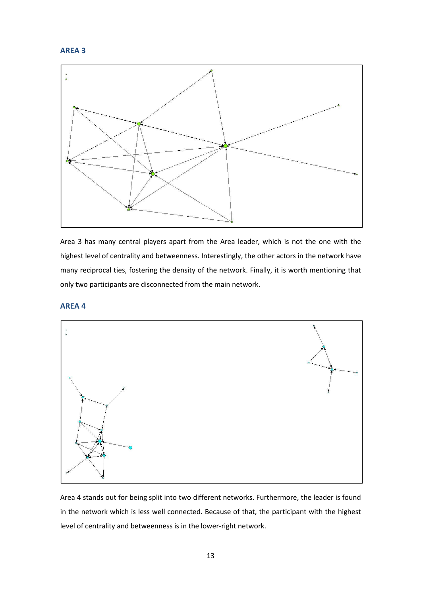



Area 3 has many central players apart from the Area leader, which is not the one with the highest level of centrality and betweenness. Interestingly, the other actors in the network have many reciprocal ties, fostering the density of the network. Finally, it is worth mentioning that only two participants are disconnected from the main network.

#### **AREA 4**



Area 4 stands out for being split into two different networks. Furthermore, the leader is found in the network which is less well connected. Because of that, the participant with the highest level of centrality and betweenness is in the lower-right network.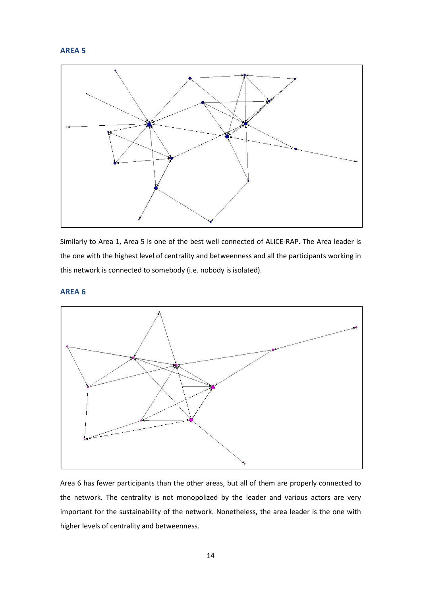## **AREA 5**



Similarly to Area 1, Area 5 is one of the best well connected of ALICE-RAP. The Area leader is the one with the highest level of centrality and betweenness and all the participants working in this network is connected to somebody (i.e. nobody is isolated).

## **AREA 6**



Area 6 has fewer participants than the other areas, but all of them are properly connected to the network. The centrality is not monopolized by the leader and various actors are very important for the sustainability of the network. Nonetheless, the area leader is the one with higher levels of centrality and betweenness.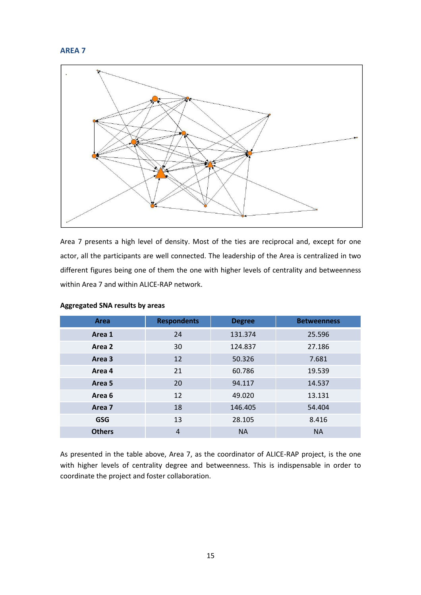## **AREA 7**



Area 7 presents a high level of density. Most of the ties are reciprocal and, except for one actor, all the participants are well connected. The leadership of the Area is centralized in two different figures being one of them the one with higher levels of centrality and betweenness within Area 7 and within ALICE-RAP network.

| Area              | <b>Respondents</b> | <b>Degree</b> | <b>Betweenness</b> |
|-------------------|--------------------|---------------|--------------------|
| Area 1            | 24                 | 131.374       | 25.596             |
| Area 2            | 30                 | 124.837       | 27.186             |
| Area 3            | 12                 | 50.326        | 7.681              |
| Area 4            | 21                 | 60.786        | 19.539             |
| Area 5            | 20                 | 94.117        | 14.537             |
| Area 6            | 12                 | 49.020        | 13.131             |
| Area <sub>7</sub> | 18                 | 146.405       | 54.404             |
| <b>GSG</b>        | 13                 | 28.105        | 8.416              |
| <b>Others</b>     | $\overline{4}$     | <b>NA</b>     | <b>NA</b>          |

#### **Aggregated SNA results by areas**

As presented in the table above, Area 7, as the coordinator of ALICE-RAP project, is the one with higher levels of centrality degree and betweenness. This is indispensable in order to coordinate the project and foster collaboration.